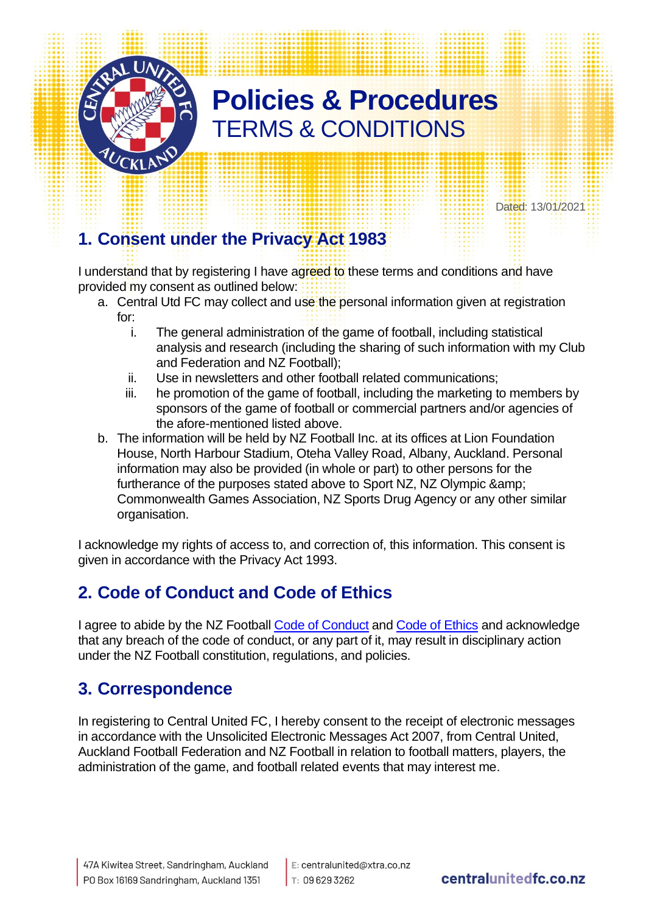

Dated: 13/01/2021

# **1. Consent under the Privacy Act 1983**

I understand that by registering I have agreed to these terms and conditions and have provided my consent as outlined below:

- a. Central Utd FC may collect and use the personal information given at registration for:
	- i. The general administration of the game of football, including statistical analysis and research (including the sharing of such information with my Club and Federation and NZ Football);
	- ii. Use in newsletters and other football related communications;
	- iii. he promotion of the game of football, including the marketing to members by sponsors of the game of football or commercial partners and/or agencies of the afore-mentioned listed above.
- b. The information will be held by NZ Football Inc. at its offices at Lion Foundation House, North Harbour Stadium, Oteha Valley Road, Albany, Auckland. Personal information may also be provided (in whole or part) to other persons for the furtherance of the purposes stated above to Sport NZ, NZ Olympic & amp; Commonwealth Games Association, NZ Sports Drug Agency or any other similar organisation.

I acknowledge my rights of access to, and correction of, this information. This consent is given in accordance with the Privacy Act 1993.

### **2. Code of Conduct and Code of Ethics**

I agree to abide by the NZ Football [Code of Conduct](http://www.sporty.co.nz/asset/downloadasset?id=14e7bb3c-9631-4a1d-8d53-2466a515d0ea) and [Code of Ethics](http://www.sporty.co.nz/asset/downloadasset?id=504416bc-fa7b-4492-b917-1535f8f1f818) and acknowledge that any breach of the code of conduct, or any part of it, may result in disciplinary action under the NZ Football constitution, regulations, and policies.

### **3. Correspondence**

In registering to Central United FC, I hereby consent to the receipt of electronic messages in accordance with the Unsolicited Electronic Messages Act 2007, from Central United, Auckland Football Federation and NZ Football in relation to football matters, players, the administration of the game, and football related events that may interest me.